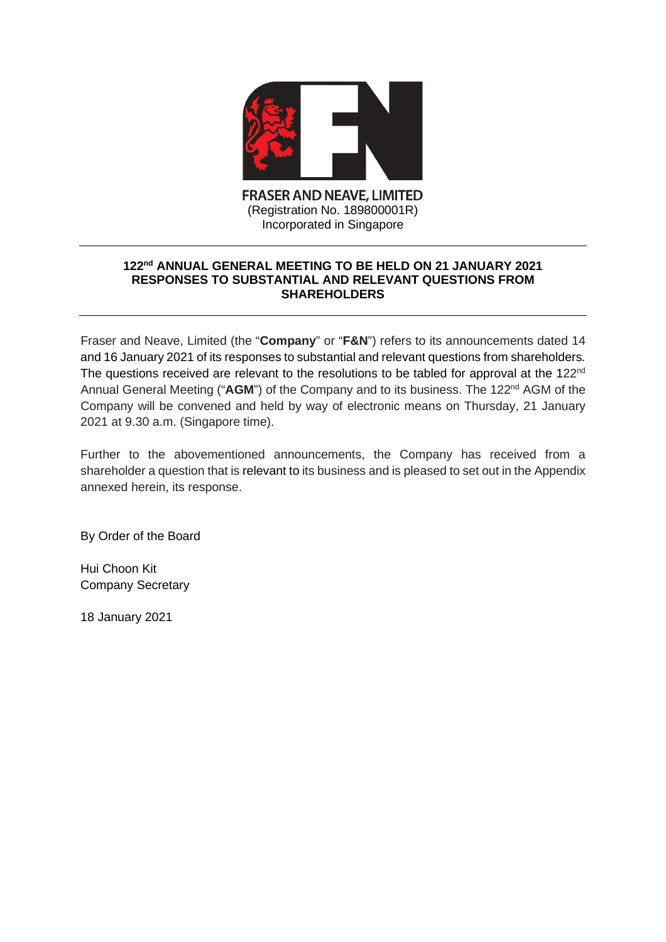

## **122nd ANNUAL GENERAL MEETING TO BE HELD ON 21 JANUARY 2021 RESPONSES TO SUBSTANTIAL AND RELEVANT QUESTIONS FROM SHAREHOLDERS**

Fraser and Neave, Limited (the "**Company**" or "**F&N**") refers to its announcements dated 14 and 16 January 2021 of its responses to substantial and relevant questions from shareholders. The questions received are relevant to the resolutions to be tabled for approval at the 122<sup>nd</sup> Annual General Meeting ("AGM") of the Company and to its business. The 122<sup>nd</sup> AGM of the Company will be convened and held by way of electronic means on Thursday, 21 January 2021 at 9.30 a.m. (Singapore time).

Further to the abovementioned announcements, the Company has received from a shareholder a question that is relevant to its business and is pleased to set out in the Appendix annexed herein, its response.

By Order of the Board

Hui Choon Kit Company Secretary

18 January 2021